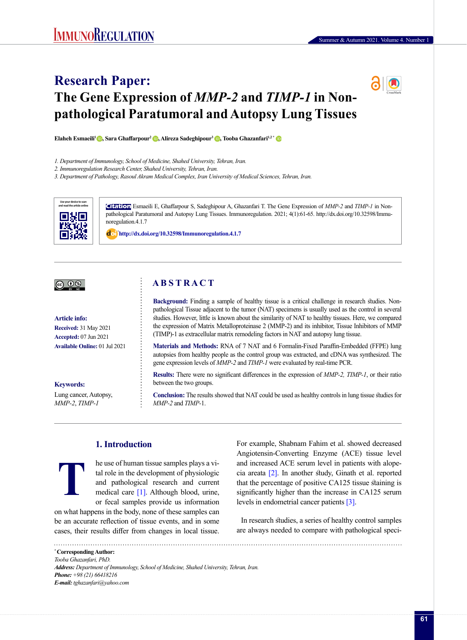# **Research Paper: The Gene Expression of** *MMP-2* **and** *TIMP-1* **in Nonpathological Paratumoral and Autopsy Lung Tissues**

**Elaheh Esmaeili1 [,](https://orcid.org/0000-0003-0324-9808) Sara Ghaffarpour<sup>2</sup> [,](https://orcid.org/0000-0003-1312-5219) Alireza Sadeghipour<sup>3</sup> [,](https://orcid.org/0000-0002-4590-1318) Tooba Ghazanfari1,2 [\\*](https://orcid.org/0000-0002-1049-7095)**

*1. Department of Immunology, School of Medicine, Shahed University, Tehran, Iran.*

*2. Immunoregulation Research Center, Shahed University, Tehran, Iran.*

*3. Department of Pathology, Rasoul Akram Medical Complex, Iran University of Medical Sciences, Tehran, Iran.*



**Citation** Esmaeili E, Ghaffarpour S, Sadeghipour A, Ghazanfari T. The Gene Expression of *MMP-2* and *TIMP-1* in Nonpathological Paratumoral and Autopsy Lung Tissues. Immunoregulation. 2021; 4(1):61-65. http://dx.doi.org/10.32598/Immunoregulation.4.1.7

: **<http://dx.doi.org/10.32598/Immunoregulation.4.1.7>**

# |@ 0

#### **Article info:**

**Received:** 31 May 2021 **Accepted:** 07 Jun 2021 **Available Online:** 01 Jul 2021

## **Keywords:**

**T**

Lung cancer, Autopsy, *MMP-2*, *TIMP-1*

# **A B S T R A C T**

**Background:** Finding a sample of healthy tissue is a critical challenge in research studies. Nonpathological Tissue adjacent to the tumor (NAT) specimens is usually used as the control in several studies. However, little is known about the similarity of NAT to healthy tissues. Here, we compared the expression of Matrix Metalloproteinase 2 (MMP-2) and its inhibitor, Tissue Inhibitors of MMP (TIMP)-1 as extracellular matrix remodeling factors in NAT and autopsy lung tissue.

**Materials and Methods:** RNA of 7 NAT and 6 Formalin-Fixed Paraffin-Embedded (FFPE) lung autopsies from healthy people as the control group was extracted, and cDNA was synthesized. The gene expression levels of *MMP-2* and *TIMP-1* were evaluated by real-time PCR.

**Results:** There were no significant differences in the expression of *MMP-2, TIMP-1*, or their ratio between the two groups.

**Conclusion:** The results showed that NAT could be used as healthy controls in lung tissue studies for *MMP-2* and *TIMP-*1.

# **1. Introduction**

he use of human tissue samples plays a vital role in the development of physiologic and pathological research and current medical care [\[1\]](#page-3-0). Although blood, urine, or fecal samples provide us information

on what happens in the body, none of these samples can be an accurate reflection of tissue events, and in some cases, their results differ from changes in local tissue.

For example, Shabnam Fahim et al. showed decreased Angiotensin-Converting Enzyme (ACE) tissue level and increased ACE serum level in patients with alopecia areata [\[2\].](#page-3-1) In another study, Ginath et al. reported that the percentage of positive CA125 tissue staining is significantly higher than the increase in CA125 serum levels in endometrial cancer patients [\[3\]](#page-3-2).

In research studies, a series of healthy control samples are always needed to compare with pathological speci-

**\* Corresponding Author:** *Tooba Ghazanfari, PhD. Address: Department of Immunology, School of Medicine, Shahed University, Tehran, Iran. Phone: +98 (21) 66418216 E-mail: tghazanfari@yahoo.com*

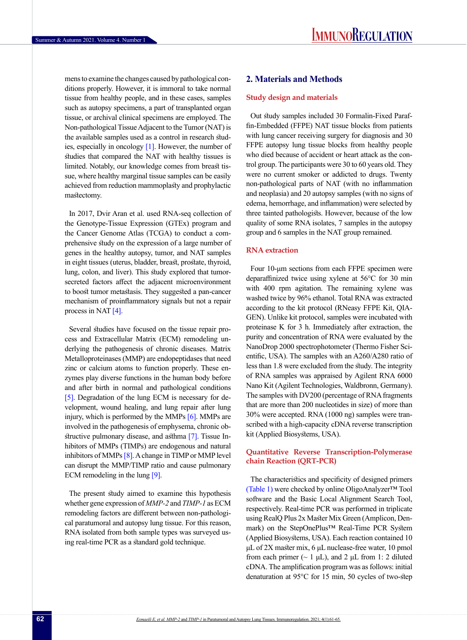mens to examine the changes caused by pathological conditions properly. However, it is immoral to take normal tissue from healthy people, and in these cases, samples such as autopsy specimens, a part of transplanted organ tissue, or archival clinical specimens are employed. The Non-pathological Tissue Adjacent to the Tumor (NAT) is the available samples used as a control in research studies, especially in oncology [\[1\]](#page-3-0). However, the number of studies that compared the NAT with healthy tissues is limited. Notably, our knowledge comes from breast tissue, where healthy marginal tissue samples can be easily achieved from reduction mammoplasty and prophylactic mastectomy.

In 2017, Dvir Aran et al. used RNA-seq collection of the Genotype-Tissue Expression (GTEx) program and the Cancer Genome Atlas (TCGA) to conduct a comprehensive study on the expression of a large number of genes in the healthy autopsy, tumor, and NAT samples in eight tissues (uterus, bladder, breast, prostate, thyroid, lung, colon, and liver). This study explored that tumorsecreted factors affect the adjacent microenvironment to boost tumor metastasis. They suggested a pan-cancer mechanism of proinflammatory signals but not a repair process in NAT [\[4\]](#page-3-3).

Several studies have focused on the tissue repair process and Extracellular Matrix (ECM) remodeling underlying the pathogenesis of chronic diseases. Matrix Metalloproteinases (MMP) are endopeptidases that need zinc or calcium atoms to function properly. These enzymes play diverse functions in the human body before and after birth in normal and pathological conditions [\[5\].](#page-4-0) Degradation of the lung ECM is necessary for development, wound healing, and lung repair after lung injury, which is performed by the MMPs [6]. MMPs are involved in the pathogenesis of emphysema, chronic obstructive pulmonary disease, and asthma [\[7\]](#page-4-1). Tissue Inhibitors of MMPs (TIMPs) are endogenous and natural inhibitors of MMPs [\[8\].](#page-4-2) A change in TIMP or MMP level can disrupt the MMP/TIMP ratio and cause pulmonary ECM remodeling in the lung [\[9\]](#page-4-3).

The present study aimed to examine this hypothesis whether gene expression of *MMP-2* and *TIMP-1* as ECM remodeling factors are different between non-pathological paratumoral and autopsy lung tissue. For this reason, RNA isolated from both sample types was surveyed using real-time PCR as a standard gold technique.

# **2. Materials and Methods**

#### **Study design and materials**

Out study samples included 30 Formalin-Fixed Paraffin-Embedded (FFPE) NAT tissue blocks from patients with lung cancer receiving surgery for diagnosis and 30 FFPE autopsy lung tissue blocks from healthy people who died because of accident or heart attack as the control group. The participants were 30 to 60 years old. They were no current smoker or addicted to drugs. Twenty non-pathological parts of NAT (with no inflammation and neoplasia) and 20 autopsy samples (with no signs of edema, hemorrhage, and inflammation) were selected by three tainted pathologists. However, because of the low quality of some RNA isolates, 7 samples in the autopsy group and 6 samples in the NAT group remained.

## **RNA extraction**

Four 10-μm sections from each FFPE specimen were deparaffinized twice using xylene at 56°C for 30 min with 400 rpm agitation. The remaining xylene was washed twice by 96% ethanol. Total RNA was extracted according to the kit protocol (RNeasy FFPE Kit, QIA-GEN). Unlike kit protocol, samples were incubated with proteinase K for 3 h. Immediately after extraction, the purity and concentration of RNA were evaluated by the NanoDrop 2000 spectrophotometer (Thermo Fisher Scientific, USA). The samples with an A260/A280 ratio of less than 1.8 were excluded from the study. The integrity of RNA samples was appraised by Agilent RNA 6000 Nano Kit (Agilent Technologies, Waldbronn, Germany). The samples with DV200 (percentage of RNA fragments that are more than 200 nucleotides in size) of more than 30% were accepted. RNA (1000 ng) samples were transcribed with a high-capacity cDNA reverse transcription kit (Applied Biosystems, USA).

## **Quantitative Reverse Transcription-Polymerase chain Reaction (QRT-PCR)**

The characteristics and specificity of designed primers [\(Table 1\)](#page-2-0) were checked by online OligoAnalyzer™ Tool software and the Basic Local Alignment Search Tool, respectively. Real-time PCR was performed in triplicate using RealQ Plus 2x Master Mix Green (Amplicon, Denmark) on the StepOnePlus™ Real-Time PCR System (Applied Biosystems, USA). Each reaction contained 10 μL of 2X master mix, 6 μL nuclease-free water, 10 pmol from each primer ( $\sim 1 \mu L$ ), and 2  $\mu L$  from 1: 2 diluted cDNA. The amplification program was as follows: initial denaturation at 95°C for 15 min, 50 cycles of two-step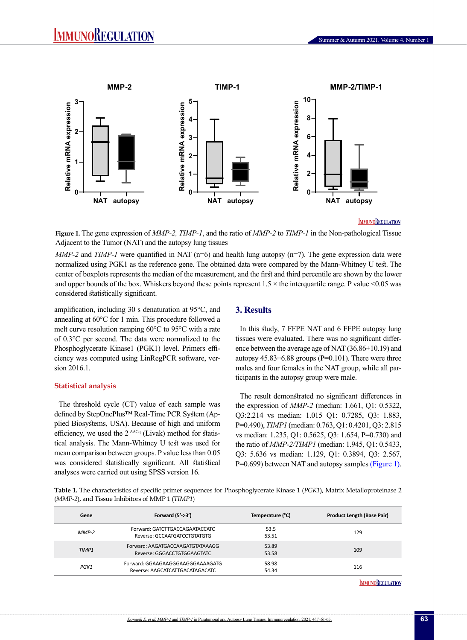

#### **IMMUNOREGULATION**

<span id="page-2-1"></span>**Figure 1.** The gene expression of *MMP-2, TIMP-1*, and the ratio of *MMP-2* to *TIMP-1* in the Non-pathological Tissue Adjacent to the Tumor (NAT) and the autopsy lung tissues

*MMP-2* and *TIMP-1* were quantified in NAT (n=6) and health lung autopsy (n=7). The gene expression data were normalized using PGK1 as the reference gene. The obtained data were compared by the Mann-Whitney U test. The center of boxplots represents the median of the measurement, and the first and third percentile are shown by the lower and upper bounds of the box. Whiskers beyond these points represent  $1.5 \times$  the interquartile range. P value <0.05 was considered statistically significant.

amplification, including 30 s denaturation at 95°C, and annealing at 60°C for 1 min. This procedure followed a melt curve resolution ramping 60°C to 95°C with a rate of 0.3°C per second. The data were normalized to the Phosphoglycerate Kinase1 (PGK1) level. Primers efficiency was computed using LinRegPCR software, version 2016.1.

#### **Statistical analysis**

The threshold cycle (CT) value of each sample was defined by StepOnePlus™ Real-Time PCR System (Applied Biosystems, USA). Because of high and uniform efficiency, we used the  $2-\Delta\Delta Cq$  (Livak) method for statistical analysis. The Mann-Whitney U test was used for mean comparison between groups. P value less than 0.05 was considered statistically significant. All statistical analyses were carried out using SPSS version 16.

## **3. Results**

In this study, 7 FFPE NAT and 6 FFPE autopsy lung tissues were evaluated. There was no significant difference between the average age of NAT (36.86±10.19) and autopsy  $45.83\pm6.88$  groups (P=0.101). There were three males and four females in the NAT group, while all participants in the autopsy group were male.

The result demonstrated no significant differences in the expression of *MMP-2* (median: 1.661, Q1: 0.5322, Q3:2.214 vs median: 1.015 Q1: 0.7285, Q3: 1.883, P=0.490), *TIMP1* (median: 0.763, Q1: 0.4201, Q3: 2.815 vs median: 1.235, Q1: 0.5625, Q3: 1.654, P=0.730) and the ratio of *MMP-2/TIMP1* (median: 1.945, Q1: 0.5433, Q3: 5.636 vs median: 1.129, Q1: 0.3894, Q3: 2.567, P=0.699) between NAT and autopsy samples [\(Figure 1\).](#page-2-1)

<span id="page-2-0"></span>**Table 1.** The characteristics of specific primer sequences for Phosphoglycerate Kinase 1 (*PGK1*), Matrix Metalloproteinase 2 (*MMP-2*), and Tissue Inhibitors of MMP 1 (*TIMP1*)

| Gene    | Forward $(5'-3')$                                                   | Temperature (°C) | <b>Product Length (Base Pair)</b> |
|---------|---------------------------------------------------------------------|------------------|-----------------------------------|
| $MMP-2$ | Forward: GATCTTGACCAGAATACCATC<br>Reverse: GCCAATGATCCTGTATGTG      | 53.5<br>53.51    | 129                               |
| TIMP1   | Forward: AAGATGACCAAGATGTATAAAGG<br>Reverse: GGGACCTGTGGAAGTATC     | 53.89<br>53.58   | 109                               |
| PGK1    | Forward: GGAAGAAGGGAAGGGAAAAGATG<br>Reverse: AAGCATCATTGACATAGACATC | 58.98<br>54.34   | 116                               |
|         |                                                                     |                  |                                   |

**IMMUNOREGULATION**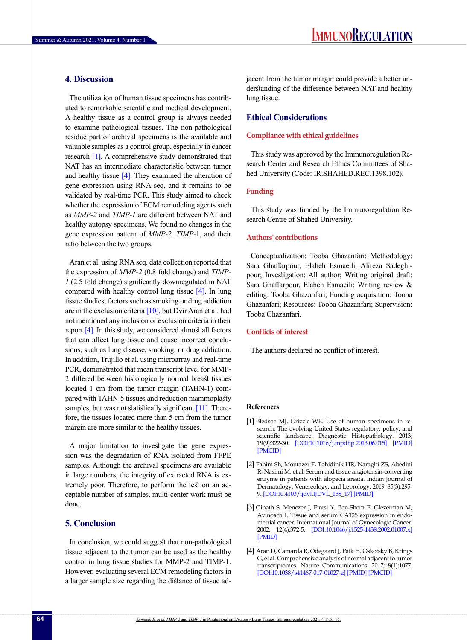# **4. Discussion**

The utilization of human tissue specimens has contributed to remarkable scientific and medical development. A healthy tissue as a control group is always needed to examine pathological tissues. The non-pathological residue part of archival specimens is the available and valuable samples as a control group, especially in cancer research [\[1\].](#page-3-0) A comprehensive study demonstrated that NAT has an intermediate characteristic between tumor and healthy tissue  $[4]$ . They examined the alteration of gene expression using RNA-seq, and it remains to be validated by real-time PCR. This study aimed to check whether the expression of ECM remodeling agents such as *MMP-2* and *TIMP-1* are different between NAT and healthy autopsy specimens. We found no changes in the gene expression pattern of *MMP-2, TIMP-*1, and their ratio between the two groups.

Aran et al. using RNA seq. data collection reported that the expression of *MMP-2* (0.8 fold change) and *TIMP-1* (2.5 fold change) significantly downregulated in NAT compared with healthy control lung tissue  $[4]$ . In lung tissue studies, factors such as smoking or drug addiction are in the exclusion criteria  $[10]$ , but Dvir Aran et al. had not mentioned any inclusion or exclusion criteria in their report  $[4]$ . In this study, we considered almost all factors that can affect lung tissue and cause incorrect conclusions, such as lung disease, smoking, or drug addiction. In addition, Trujillo et al. using microarray and real-time PCR, demonstrated that mean transcript level for MMP-2 differed between histologically normal breast tissues located 1 cm from the tumor margin (TAHN-1) compared with TAHN-5 tissues and reduction mammoplasty samples, but was not statistically significant [\[11\].](#page-4-5) Therefore, the tissues located more than 5 cm from the tumor margin are more similar to the healthy tissues.

A major limitation to investigate the gene expression was the degradation of RNA isolated from FFPE samples. Although the archival specimens are available in large numbers, the integrity of extracted RNA is extremely poor. Therefore, to perform the test on an acceptable number of samples, multi-center work must be done.

# **5. Conclusion**

In conclusion, we could suggest that non-pathological tissue adjacent to the tumor can be used as the healthy control in lung tissue studies for MMP-2 and TIMP-1. However, evaluating several ECM remodeling factors in a larger sample size regarding the distance of tissue adjacent from the tumor margin could provide a better understanding of the difference between NAT and healthy lung tissue.

# **Ethical Considerations**

## **Compliance with ethical guidelines**

This study was approved by the Immunoregulation Research Center and Research Ethics Committees of Shahed University (Code: IR.SHAHED.REC.1398.102).

## **Funding**

This study was funded by the Immunoregulation Research Centre of Shahed University.

## **Authors' contributions**

Conceptualization: Tooba Ghazanfari; Methodology: Sara Ghaffarpour, Elaheh Esmaeili, Alireza Sadeghipour; Investigation: All author; Writing original draft: Sara Ghaffarpour, Elaheh Esmaeili; Writing review & editing: Tooba Ghazanfari; Funding acquisition: Tooba Ghazanfari; Resources: Tooba Ghazanfari; Supervision: Tooba Ghazanfari.

## **Conflicts of interest**

The authors declared no conflict of interest.

#### **References**

- <span id="page-3-0"></span>[1] Bledsoe MJ, Grizzle WE. Use of human specimens in research: The evolving United States regulatory, policy, and scientific landscape. Diagnostic Histopathology. 2013; 19(9):322-30. [[DOI:10.1016/j.mpdhp.2013.06.015\]](https://doi.org/10.1016/j.mpdhp.2013.06.015) [\[PMID\]](https://www.ncbi.nlm.nih.gov/pubmed/24639889) [\[PMCID\]](http://www.ncbi.nlm.nih.gov/pmc/articles/PMC3954467)
- <span id="page-3-1"></span>[2] Fahim Sh, Montazer F, Tohidinik HR, Naraghi ZS, Abedini R, Nasimi M, et al. Serum and tissue angiotensin-converting enzyme in patients with alopecia areata. Indian Journal of Dermatology, Venereology, and Leprology. 2019; 85(3):295- 9. [\[DOI:10.4103/ijdvl.IJDVL\\_158\\_17](https://doi.org/10.4103/ijdvl.IJDVL_158_17)] [\[PMID\]](https://www.ncbi.nlm.nih.gov/pubmed/29582789)
- <span id="page-3-2"></span>[3] Ginath S, Menczer J, Fintsi Y, Ben-Shem E, Glezerman M, Avinoach I. Tissue and serum CA125 expression in endometrial cancer. International Journal of Gynecologic Cancer. 2002; 12(4):372-5. [\[DOI:10.1046/j.1525-1438.2002.01007.x\]](https://doi.org/10.1046/j.1525-1438.2002.01007.x) [\[PMID](https://www.ncbi.nlm.nih.gov/pubmed/12144685)]
- <span id="page-3-3"></span>[4] Aran D, Camarda R, Odegaard J, Paik H, Oskotsky B, Krings G, et al. Comprehensive analysis of normal adjacent to tumor transcriptomes. Nature Communications. 2017; 8(1):1077. [\[DOI:10.1038/s41467-017-01027-z](https://doi.org/10.1038/s41467-017-01027-z)] [\[PMID\]](https://www.ncbi.nlm.nih.gov/pubmed/29057876) [\[PMCID\]](http://www.ncbi.nlm.nih.gov/pmc/articles/PMC5651823)